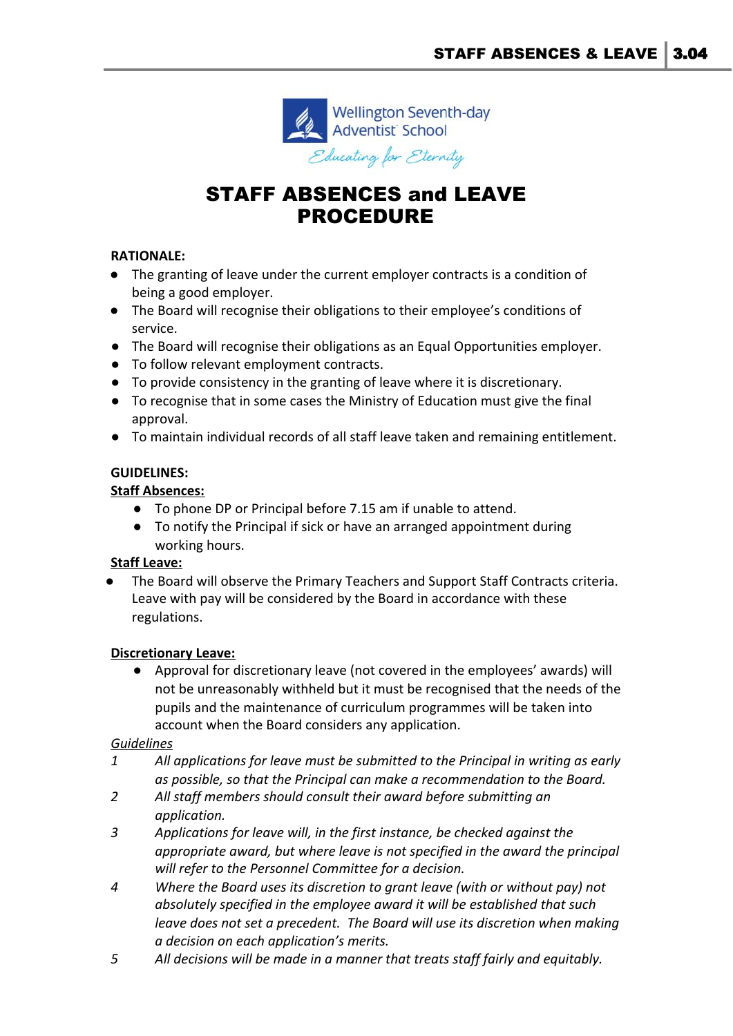

## STAFF ABSENCES and LEAVE PROCEDURE

## **RATIONALE:**

- The granting of leave under the current employer contracts is a condition of being a good employer.
- The Board will recognise their obligations to their employee's conditions of service.
- The Board will recognise their obligations as an Equal Opportunities employer.
- To follow relevant employment contracts.
- To provide consistency in the granting of leave where it is discretionary.
- To recognise that in some cases the Ministry of Education must give the final approval.
- To maintain individual records of all staff leave taken and remaining entitlement.

## **GUIDELINES:**

## **Staff Absences:**

- **●** To phone DP or Principal before 7.15 am if unable to attend.
- **●** To notify the Principal if sick or have an arranged appointment during working hours.

## **Staff Leave:**

The Board will observe the Primary Teachers and Support Staff Contracts criteria. Leave with pay will be considered by the Board in accordance with these regulations.

## **Discretionary Leave:**

● Approval for discretionary leave (not covered in the employees' awards) will not be unreasonably withheld but it must be recognised that the needs of the pupils and the maintenance of curriculum programmes will be taken into account when the Board considers any application.

## *Guidelines*

- *1 All applications for leave must be submitted to the Principal in writing as early as possible, so that the Principal can make a recommendation to the Board.*
- *2 All staff members should consult their award before submitting an application.*
- *3 Applications for leave will, in the first instance, be checked against the appropriate award, but where leave is not specified in the award the principal will refer to the Personnel Committee for a decision.*
- *4 Where the Board uses its discretion to grant leave (with or without pay) not absolutely specified in the employee award it will be established that such leave does not set a precedent. The Board will use its discretion when making a decision on each application's merits.*
- *5 All decisions will be made in a manner that treats staff fairly and equitably.*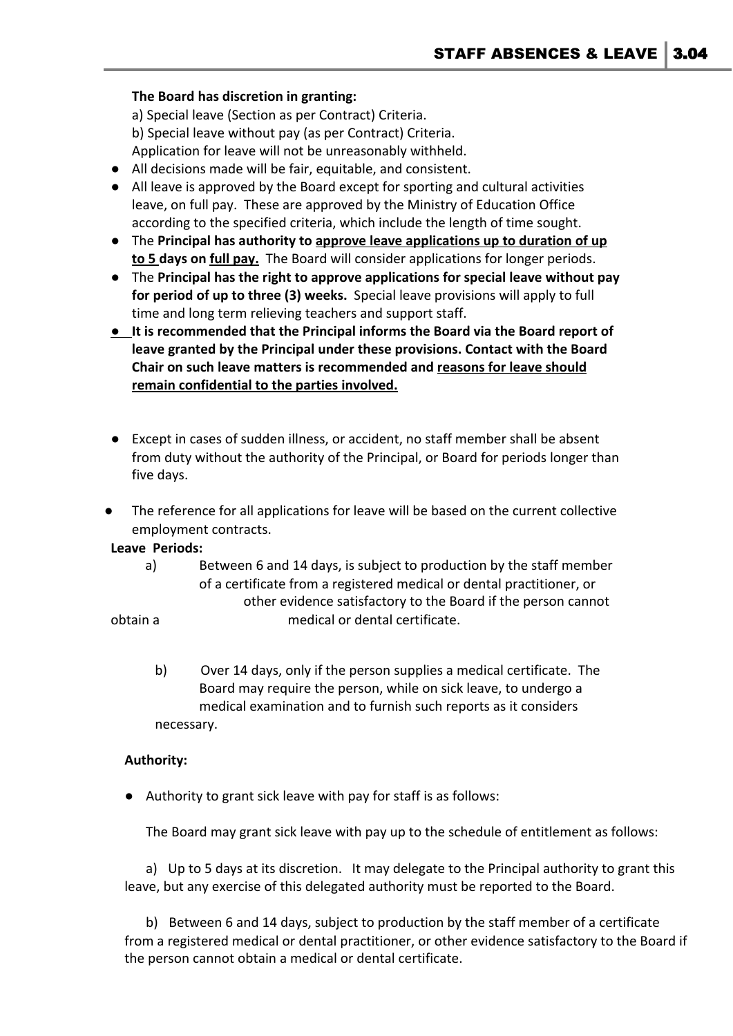#### **The Board has discretion in granting:**

a) Special leave (Section as per Contract) Criteria.

b) Special leave without pay (as per Contract) Criteria.

Application for leave will not be unreasonably withheld.

- All decisions made will be fair, equitable, and consistent.
- All leave is approved by the Board except for sporting and cultural activities leave, on full pay. These are approved by the Ministry of Education Office according to the specified criteria, which include the length of time sought.
- The **Principal has authority to approve leave applications up to duration of up to 5 days on full pay.** The Board will consider applications for longer periods.
- The **Principal has the right to approve applications for special leave without pay for period of up to three (3) weeks.** Special leave provisions will apply to full time and long term relieving teachers and support staff.
- **● It is recommended that the Principal informs the Board via the Board report of leave granted by the Principal under these provisions. Contact with the Board Chair on such leave matters is recommended and reasons for leave should remain confidential to the parties involved.**
- Except in cases of sudden illness, or accident, no staff member shall be absent from duty without the authority of the Principal, or Board for periods longer than five days.
- The reference for all applications for leave will be based on the current collective employment contracts.

## **Leave Periods:**

 a) Between 6 and 14 days, is subject to production by the staff member of a certificate from a registered medical or dental practitioner, or other evidence satisfactory to the Board if the person cannot obtain a medical or dental certificate.

b) Over 14 days, only if the person supplies a medical certificate. The Board may require the person, while on sick leave, to undergo a medical examination and to furnish such reports as it considers necessary.

## **Authority:**

● Authority to grant sick leave with pay for staff is as follows:

The Board may grant sick leave with pay up to the schedule of entitlement as follows:

a) Up to 5 days at its discretion. It may delegate to the Principal authority to grant this leave, but any exercise of this delegated authority must be reported to the Board.

b) Between 6 and 14 days, subject to production by the staff member of a certificate from a registered medical or dental practitioner, or other evidence satisfactory to the Board if the person cannot obtain a medical or dental certificate.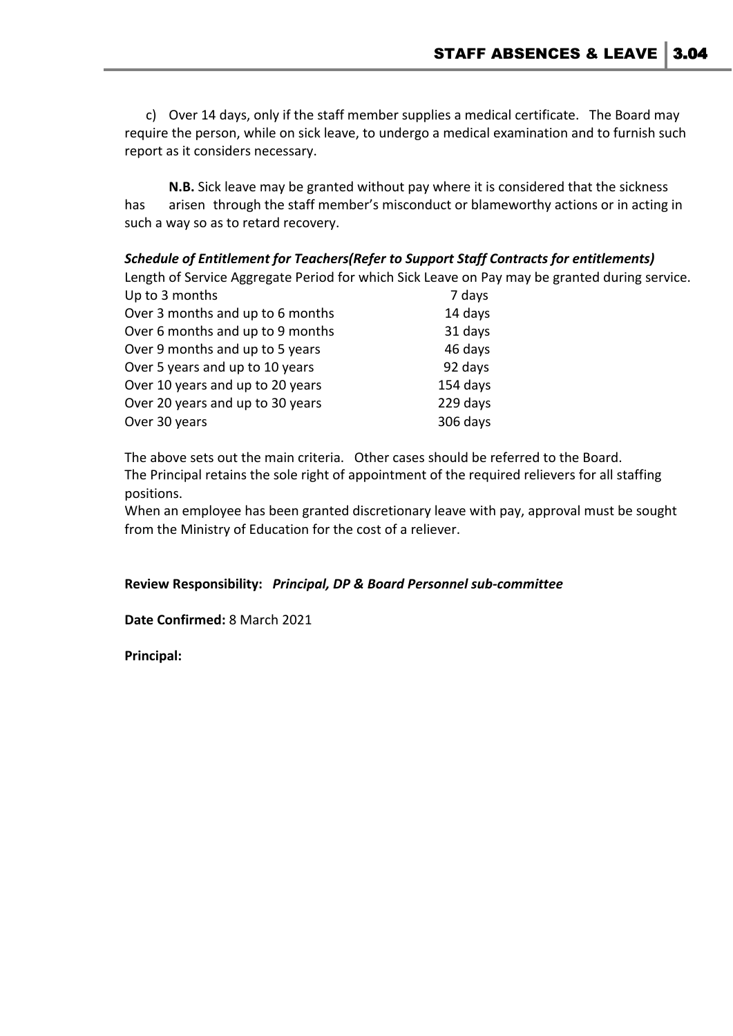c) Over 14 days, only if the staff member supplies a medical certificate. The Board may require the person, while on sick leave, to undergo a medical examination and to furnish such report as it considers necessary.

**N.B.** Sick leave may be granted without pay where it is considered that the sickness has arisen through the staff member's misconduct or blameworthy actions or in acting in such a way so as to retard recovery.

#### *Schedule of Entitlement for Teachers(Refer to Support Staff Contracts for entitlements)*

Length of Service Aggregate Period for which Sick Leave on Pay may be granted during service.

| Up to 3 months                   | 7 days   |
|----------------------------------|----------|
| Over 3 months and up to 6 months | 14 days  |
| Over 6 months and up to 9 months | 31 days  |
| Over 9 months and up to 5 years  | 46 days  |
| Over 5 years and up to 10 years  | 92 days  |
| Over 10 years and up to 20 years | 154 days |
| Over 20 years and up to 30 years | 229 days |
| Over 30 years                    | 306 days |

The above sets out the main criteria. Other cases should be referred to the Board. The Principal retains the sole right of appointment of the required relievers for all staffing positions.

When an employee has been granted discretionary leave with pay, approval must be sought from the Ministry of Education for the cost of a reliever.

#### **Review Responsibility:** *Principal, DP & Board Personnel sub-committee*

**Date Confirmed:** 8 March 2021

**Principal:**